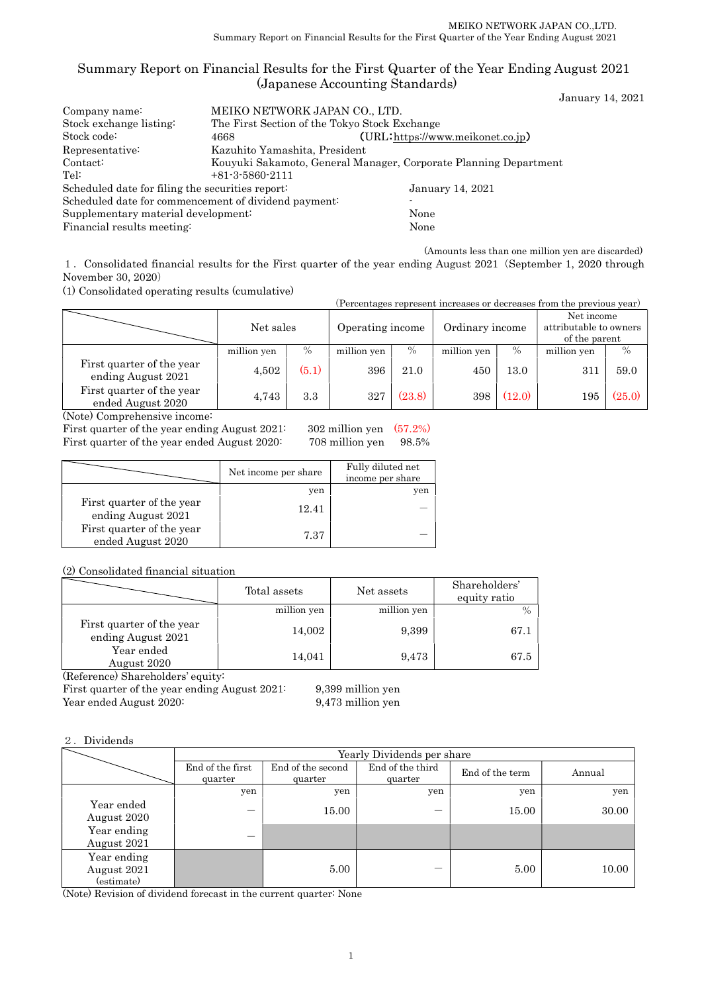## Summary Report on Financial Results for the First Quarter of the Year Ending August 2021 (Japanese Accounting Standards)

January 14, 2021

| MEIKO NETWORK JAPAN CO., LTD.                                    |                                               |  |  |  |
|------------------------------------------------------------------|-----------------------------------------------|--|--|--|
|                                                                  | The First Section of the Tokyo Stock Exchange |  |  |  |
| 4668                                                             | (URL:https://www.meikonet.co.jp)              |  |  |  |
| Kazuhito Yamashita, President                                    |                                               |  |  |  |
| Kouyuki Sakamoto, General Manager, Corporate Planning Department |                                               |  |  |  |
| $+81-3-5860-2111$                                                |                                               |  |  |  |
| Scheduled date for filing the securities report:                 | January 14, 2021                              |  |  |  |
| Scheduled date for commencement of dividend payment:             |                                               |  |  |  |
| Supplementary material development:                              | None                                          |  |  |  |
|                                                                  | None                                          |  |  |  |
|                                                                  |                                               |  |  |  |

(Amounts less than one million yen are discarded)

1.Consolidated financial results for the First quarter of the year ending August 2021(September 1, 2020 through November 30, 2020)

(1) Consolidated operating results (cumulative)

| (Percentages represent increases or decreases from the previous year) |             |                  |             |                 |             |                                                       |             |               |
|-----------------------------------------------------------------------|-------------|------------------|-------------|-----------------|-------------|-------------------------------------------------------|-------------|---------------|
|                                                                       | Net sales   | Operating income |             | Ordinary income |             | Net income<br>attributable to owners<br>of the parent |             |               |
|                                                                       | million yen | $\%$             | million yen | $\%$            | million yen | $\frac{0}{0}$                                         | million yen | $\frac{0}{0}$ |
| First quarter of the year<br>ending August 2021                       | 4,502       | (5.1)            | 396         | 21.0            | 450         | 13.0                                                  | 311         | 59.0          |
| First quarter of the year<br>3.3<br>4,743<br>ended August 2020        |             |                  | 327         | (23.8)          | 398         | (12.0)                                                | 195         | (25.0)        |

(Note) Comprehensive income:

First quarter of the year ending August 2021: 302 million yen (57.2%) First quarter of the year ended August 2020: 708 million yen 98.5%

|                                                 | Net income per share | Fully diluted net<br>income per share |
|-------------------------------------------------|----------------------|---------------------------------------|
|                                                 | yen                  | yen                                   |
| First quarter of the year<br>ending August 2021 | 12.41                |                                       |
| First quarter of the year<br>ended August 2020  | 7.37                 |                                       |

(2) Consolidated financial situation

|                                                 | Total assets | Net assets  | Shareholders'<br>equity ratio |
|-------------------------------------------------|--------------|-------------|-------------------------------|
|                                                 | million yen  | million yen |                               |
| First quarter of the year<br>ending August 2021 | 14,002       | 9,399       | 67.1                          |
| Year ended<br>August 2020                       | 14,041       | 9,473       | 67.5                          |

(Reference) Shareholders' equity:

First quarter of the year ending August 2021: 9,399 million yen Year ended August 2020: 9,473 million yen

## 2.Dividends

|                                          | Yearly Dividends per share  |                              |                             |                 |        |  |  |  |
|------------------------------------------|-----------------------------|------------------------------|-----------------------------|-----------------|--------|--|--|--|
|                                          | End of the first<br>quarter | End of the second<br>quarter | End of the third<br>quarter | End of the term | Annual |  |  |  |
|                                          | yen                         | yen                          | yen                         | yen             | yen    |  |  |  |
| Year ended<br>August 2020                |                             | 15.00                        |                             | 15.00           | 30.00  |  |  |  |
| Year ending<br>August 2021               |                             |                              |                             |                 |        |  |  |  |
| Year ending<br>August 2021<br>(estimate) |                             | 5.00                         |                             | 5.00            | 10.00  |  |  |  |

(Note) Revision of dividend forecast in the current quarter: None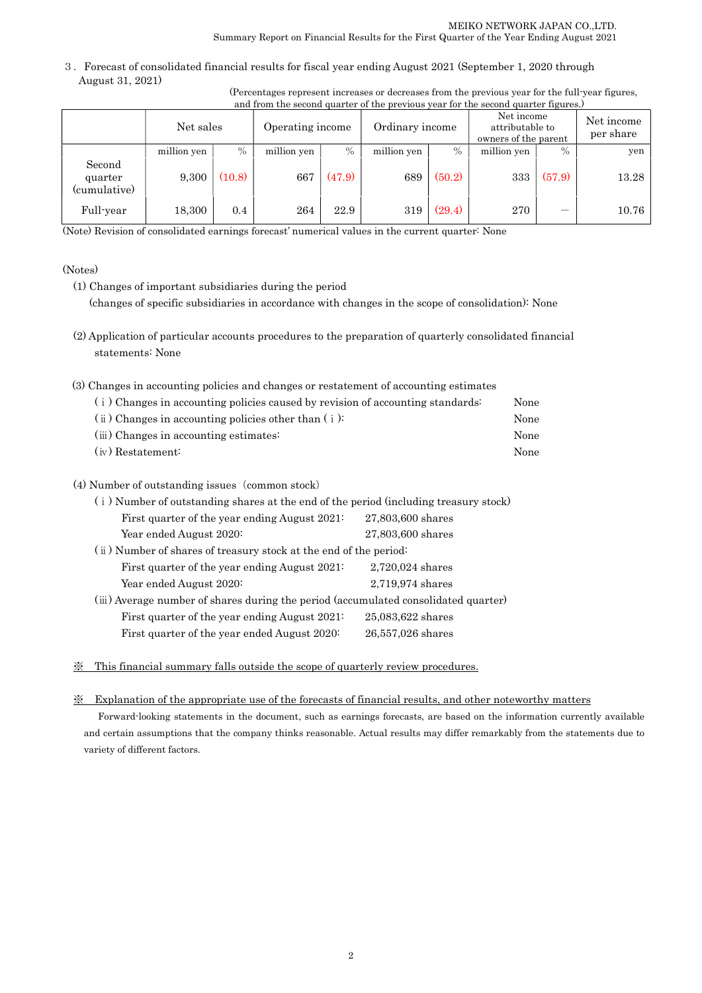3.Forecast of consolidated financial results for fiscal year ending August 2021 (September 1, 2020 through August 31, 2021)

| (Percentages represent increases or decreases from the previous year for the full-year figures, |  |  |
|-------------------------------------------------------------------------------------------------|--|--|
| and from the second quarter of the previous year for the second quarter figures.)               |  |  |

|                                   | Net sales   |        | Operating income |        | Ordinary income |        | Net income<br>attributable to<br>owners of the parent |        | Net income<br>per share |
|-----------------------------------|-------------|--------|------------------|--------|-----------------|--------|-------------------------------------------------------|--------|-------------------------|
|                                   | million yen | $\%$   | million yen      | $\%$   | million yen     | $\%$   | million yen                                           | $\%$   | yen                     |
| Second<br>quarter<br>(cumulative) | 9,300       | (10.8) | 667              | (47.9) | 689             | (50.2) | 333                                                   | (57.9) | 13.28                   |
| Full-year                         | 18.300      | 0.4    | 264              | 22.9   | 319             | (29.4) | 270                                                   |        | 10.76                   |

(Note) Revision of consolidated earnings forecast' numerical values in the current quarter: None

### (Notes)

- (1) Changes of important subsidiaries during the period (changes of specific subsidiaries in accordance with changes in the scope of consolidation): None
- (2) Application of particular accounts procedures to the preparation of quarterly consolidated financial statements: None
- (3) Changes in accounting policies and changes or restatement of accounting estimates

| (i) Changes in accounting policies caused by revision of accounting standards: | None |
|--------------------------------------------------------------------------------|------|
| $(i)$ Changes in accounting policies other than $(i)$ :                        | None |
| (iii) Changes in accounting estimates:                                         | None |
| (iv) Restatement:                                                              | None |

## (4) Number of outstanding issues (common stock)

| (i) Number of outstanding shares at the end of the period (including treasury stock) |                                                                   |  |  |  |  |  |
|--------------------------------------------------------------------------------------|-------------------------------------------------------------------|--|--|--|--|--|
| First quarter of the year ending August 2021:                                        | 27,803,600 shares                                                 |  |  |  |  |  |
| Year ended August 2020:                                                              | 27,803,600 shares                                                 |  |  |  |  |  |
|                                                                                      | (ii) Number of shares of treasury stock at the end of the period: |  |  |  |  |  |
| First quarter of the year ending August 2021:                                        | 2,720,024 shares                                                  |  |  |  |  |  |
| Year ended August 2020:                                                              | 2,719,974 shares                                                  |  |  |  |  |  |
| (iii) Average number of shares during the period (accumulated consolidated quarter)  |                                                                   |  |  |  |  |  |
| First quarter of the year ending August 2021:                                        | 25,083,622 shares                                                 |  |  |  |  |  |
| First quarter of the year ended August 2020:                                         | 26,557,026 shares                                                 |  |  |  |  |  |
|                                                                                      |                                                                   |  |  |  |  |  |

### ※ This financial summary falls outside the scope of quarterly review procedures.

### ※ Explanation of the appropriate use of the forecasts of financial results, and other noteworthy matters

Forward-looking statements in the document, such as earnings forecasts, are based on the information currently available and certain assumptions that the company thinks reasonable. Actual results may differ remarkably from the statements due to variety of different factors.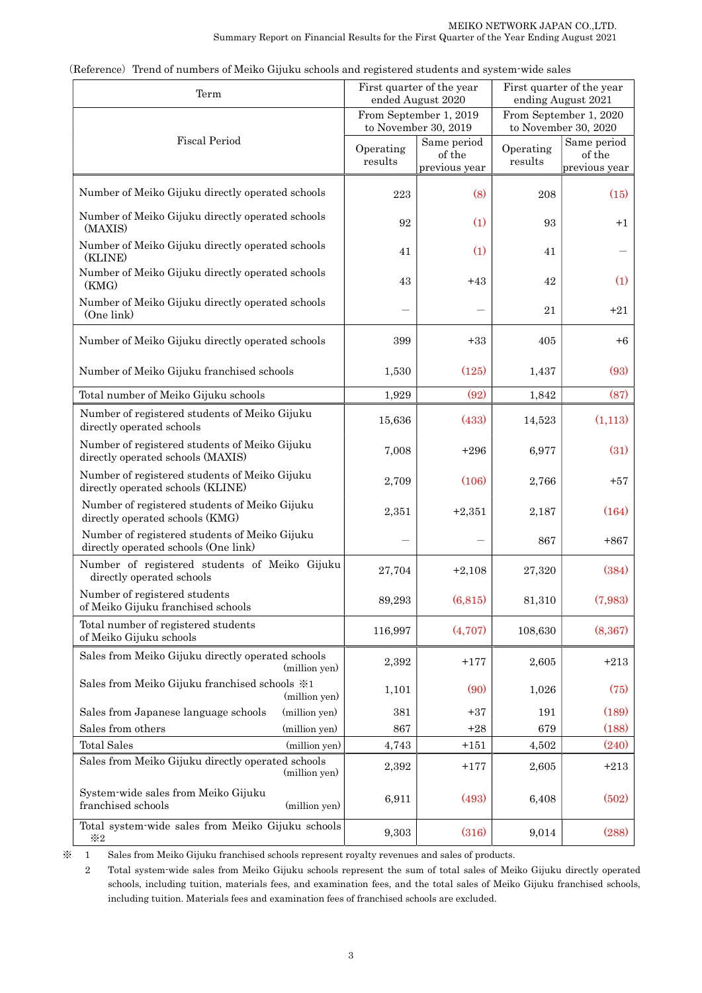| Term                                                                                  |                      | First quarter of the year<br>ended August 2020 |                      | First quarter of the year<br>ending August 2021 |
|---------------------------------------------------------------------------------------|----------------------|------------------------------------------------|----------------------|-------------------------------------------------|
|                                                                                       |                      | From September 1, 2019<br>to November 30, 2019 |                      | From September 1, 2020<br>to November 30, 2020  |
| <b>Fiscal Period</b>                                                                  | Operating<br>results | Same period<br>of the<br>previous year         | Operating<br>results | Same period<br>of the<br>previous year          |
| Number of Meiko Gijuku directly operated schools                                      | 223                  | (8)                                            | 208                  | (15)                                            |
| Number of Meiko Gijuku directly operated schools<br>(MAXIS)                           | 92                   | (1)                                            | 93                   | $+1$                                            |
| Number of Meiko Gijuku directly operated schools<br>(KLINE)                           | 41                   | (1)                                            | 41                   |                                                 |
| Number of Meiko Gijuku directly operated schools<br>(KMG)                             | 43                   | $+43$                                          | 42                   | (1)                                             |
| Number of Meiko Gijuku directly operated schools<br>(One link)                        |                      |                                                | 21                   | $+21$                                           |
| Number of Meiko Gijuku directly operated schools                                      | 399                  | $+33$                                          | 405                  | $+6$                                            |
| Number of Meiko Gijuku franchised schools                                             | 1,530                | (125)                                          | 1,437                | (93)                                            |
| Total number of Meiko Gijuku schools                                                  | 1,929                | (92)                                           | 1,842                | (87)                                            |
| Number of registered students of Meiko Gijuku<br>directly operated schools            | 15,636               | (433)                                          | 14,523               | (1,113)                                         |
| Number of registered students of Meiko Gijuku<br>directly operated schools (MAXIS)    | 7,008                | $+296$                                         | 6,977                | (31)                                            |
| Number of registered students of Meiko Gijuku<br>directly operated schools (KLINE)    | 2,709                | (106)                                          | 2,766                | $+57$                                           |
| Number of registered students of Meiko Gijuku<br>directly operated schools (KMG)      | 2,351                | $+2,351$                                       | 2,187                | (164)                                           |
| Number of registered students of Meiko Gijuku<br>directly operated schools (One link) |                      |                                                | 867                  | $+867$                                          |
| Number of registered students of Meiko Gijuku<br>directly operated schools            | 27,704               | $+2,108$                                       | 27,320               | (384)                                           |
| Number of registered students<br>of Meiko Gijuku franchised schools                   | 89,293               | (6, 815)                                       | 81,310               | (7,983)                                         |
| Total number of registered students<br>of Meiko Gijuku schools                        | 116,997              | (4,707)                                        | 108,630              | (8, 367)                                        |
| Sales from Meiko Gijuku directly operated schools<br>(million yen)                    | 2,392                | $+177$                                         | 2,605                | $+213$                                          |
| Sales from Meiko Gijuku franchised schools ※1<br>(million yen)                        | 1,101                | (90)                                           | 1,026                | (75)                                            |
| Sales from Japanese language schools<br>(million yen)                                 | 381                  | $+37$                                          | 191                  | (189)                                           |
| Sales from others<br>(million yen)                                                    | 867                  | $+28$                                          | 679                  | (188)                                           |
| <b>Total Sales</b><br>(million yen)                                                   | 4,743                | $+151$                                         | 4,502                | (240)                                           |
| Sales from Meiko Gijuku directly operated schools<br>(million yen)                    | 2,392                | $+177$                                         | 2,605                | $+213$                                          |
| System-wide sales from Meiko Gijuku<br>franchised schools<br>(million yen)            | 6,911                | (493)                                          | 6,408                | (502)                                           |
| Total system-wide sales from Meiko Gijuku schools<br>$*2$                             | 9,303                | (316)                                          | 9,014                | (288)                                           |

(Reference) Trend of numbers of Meiko Gijuku schools and registered students and system-wide sales

(million ※ 1 Sales from Meiko Gijuku franchised schools represent royalty revenues and sales of products.

2 Total system-wide sales from Meiko Gijuku schools represent the sum of total sales of Meiko Gijuku directly operated schools, including tuition, materials fees, and examination fees, and the total sales of Meiko Gijuku franchised schools, including tuition. Materials fees and examination fees of franchised schools are excluded.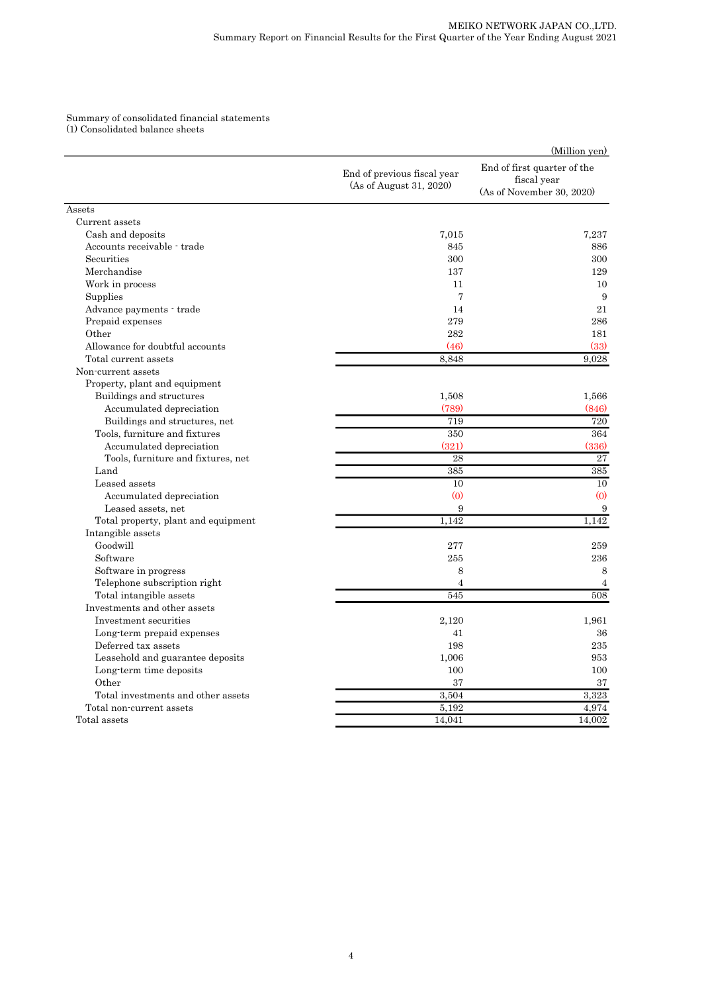# Summary of consolidated financial statements (1) Consolidated balance sheets

|                                     |                                                        | (Million yen)                                                           |
|-------------------------------------|--------------------------------------------------------|-------------------------------------------------------------------------|
|                                     | End of previous fiscal year<br>(As of August 31, 2020) | End of first quarter of the<br>fiscal year<br>(As of November 30, 2020) |
| Assets                              |                                                        |                                                                         |
| Current assets                      |                                                        |                                                                         |
| Cash and deposits                   | 7,015                                                  | 7.237                                                                   |
| Accounts receivable - trade         | 845                                                    | 886                                                                     |
| Securities                          | 300                                                    | 300                                                                     |
| Merchandise                         | 137                                                    | 129                                                                     |
| Work in process                     | 11                                                     | 10                                                                      |
| Supplies                            | 7                                                      | 9                                                                       |
| Advance payments - trade            | 14                                                     | 21                                                                      |
| Prepaid expenses                    | 279                                                    | 286                                                                     |
| Other                               | 282                                                    | 181                                                                     |
| Allowance for doubtful accounts     | (46)                                                   | (33)                                                                    |
| Total current assets                | 8.848                                                  | 9.028                                                                   |
| Non-current assets                  |                                                        |                                                                         |
| Property, plant and equipment       |                                                        |                                                                         |
| Buildings and structures            | 1,508                                                  | 1,566                                                                   |
| Accumulated depreciation            | (789)                                                  | (846)                                                                   |
| Buildings and structures, net       | 719                                                    | 720                                                                     |
| Tools, furniture and fixtures       | 350                                                    | 364                                                                     |
| Accumulated depreciation            | (321)                                                  | (336)                                                                   |
| Tools, furniture and fixtures, net  | 28                                                     | $\overline{27}$                                                         |
| Land                                | 385                                                    | 385                                                                     |
| Leased assets                       | 10                                                     | 10                                                                      |
| Accumulated depreciation            | (0)                                                    | (0)                                                                     |
| Leased assets, net                  | 9                                                      | $\boldsymbol{9}$                                                        |
| Total property, plant and equipment | 1,142                                                  | 1,142                                                                   |
| Intangible assets                   |                                                        |                                                                         |
| Goodwill                            | 277                                                    | 259                                                                     |
| Software                            | 255                                                    | 236                                                                     |
| Software in progress                | 8                                                      | 8                                                                       |
| Telephone subscription right        | $\overline{4}$                                         | $\overline{4}$                                                          |
| Total intangible assets             | 545                                                    | 508                                                                     |
| Investments and other assets        |                                                        |                                                                         |
| Investment securities               | 2,120                                                  | 1.961                                                                   |
| Long-term prepaid expenses          | 41                                                     | 36                                                                      |
| Deferred tax assets                 | 198                                                    | 235                                                                     |
| Leasehold and guarantee deposits    | 1,006                                                  | 953                                                                     |
| Long term time deposits             | 100                                                    | 100                                                                     |
| Other                               | 37                                                     | 37                                                                      |
| Total investments and other assets  | 3,504                                                  | 3.323                                                                   |
| Total non-current assets            | 5,192                                                  | 4,974                                                                   |
| Total assets                        | 14,041                                                 | 14,002                                                                  |
|                                     |                                                        |                                                                         |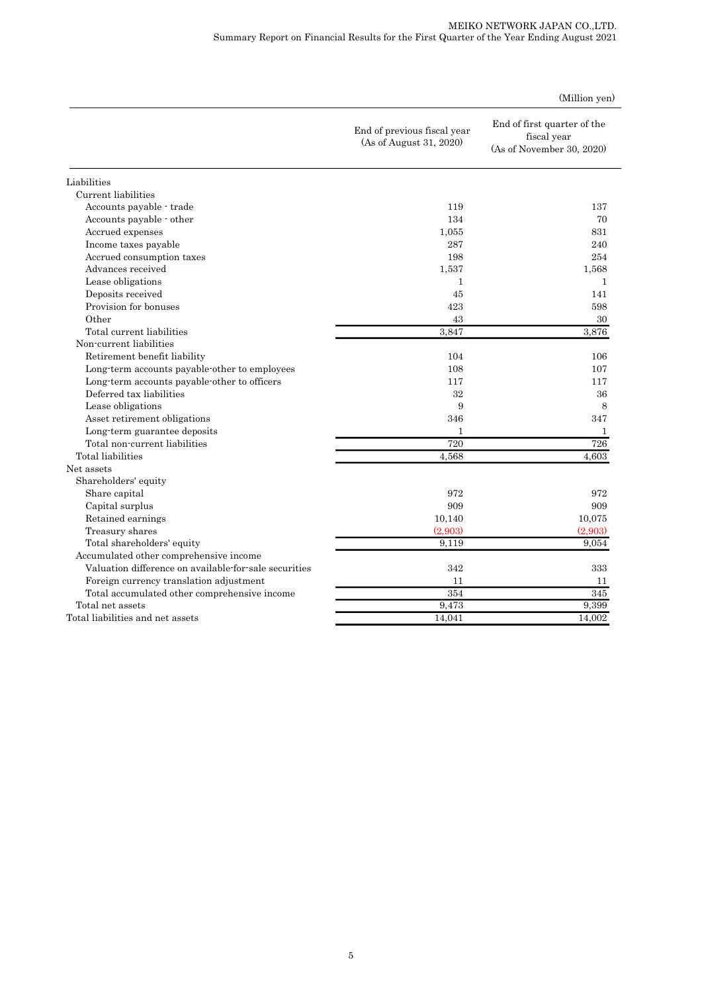### MEIKO NETWORK JAPAN CO.,LTD. Summary Report on Financial Results for the First Quarter of the Year Ending August 2021

|                                                       | End of previous fiscal year<br>(As of August 31, 2020) | End of first quarter of the<br>fiscal year<br>(As of November 30, 2020) |
|-------------------------------------------------------|--------------------------------------------------------|-------------------------------------------------------------------------|
| Liabilities                                           |                                                        |                                                                         |
| Current liabilities                                   |                                                        |                                                                         |
| Accounts payable - trade                              | 119                                                    | 137                                                                     |
| Accounts payable - other                              | 134                                                    | 70                                                                      |
| Accrued expenses                                      | 1,055                                                  | 831                                                                     |
| Income taxes payable                                  | 287                                                    | 240                                                                     |
| Accrued consumption taxes                             | 198                                                    | 254                                                                     |
| Advances received                                     | 1,537                                                  | 1,568                                                                   |
| Lease obligations                                     | $\mathbf{1}$                                           | $\mathbf{1}$                                                            |
| Deposits received                                     | 45                                                     | 141                                                                     |
| Provision for bonuses                                 | 423                                                    | 598                                                                     |
| Other                                                 | 43                                                     | 30                                                                      |
| Total current liabilities                             | 3.847                                                  | 3,876                                                                   |
| Non-current liabilities                               |                                                        |                                                                         |
| Retirement benefit liability                          | 104                                                    | 106                                                                     |
| Long-term accounts payable-other to employees         | 108                                                    | 107                                                                     |
| Long-term accounts payable-other to officers          | 117                                                    | 117                                                                     |
| Deferred tax liabilities                              | 32                                                     | 36                                                                      |
| Lease obligations                                     | 9                                                      | 8                                                                       |
| Asset retirement obligations                          | 346                                                    | 347                                                                     |
| Long-term guarantee deposits                          | 1                                                      | 1                                                                       |
| Total non-current liabilities                         | $\overline{720}$                                       | 726                                                                     |
| Total liabilities                                     | 4,568                                                  | 4,603                                                                   |
| Net assets                                            |                                                        |                                                                         |
| Shareholders' equity                                  |                                                        |                                                                         |
| Share capital                                         | 972                                                    | 972                                                                     |
| Capital surplus                                       | 909                                                    | 909                                                                     |
| Retained earnings                                     | 10,140                                                 | 10,075                                                                  |
| Treasury shares                                       | (2,903)                                                | (2,903)                                                                 |
| Total shareholders' equity                            | 9.119                                                  | 9.054                                                                   |
| Accumulated other comprehensive income                |                                                        |                                                                         |
| Valuation difference on available-for-sale securities | 342                                                    | 333                                                                     |
| Foreign currency translation adjustment               | 11                                                     | 11                                                                      |
| Total accumulated other comprehensive income          | 354                                                    | 345                                                                     |
| Total net assets                                      | 9,473                                                  | 9,399                                                                   |
| Total liabilities and net assets                      | 14,041                                                 | 14,002                                                                  |

(Million yen)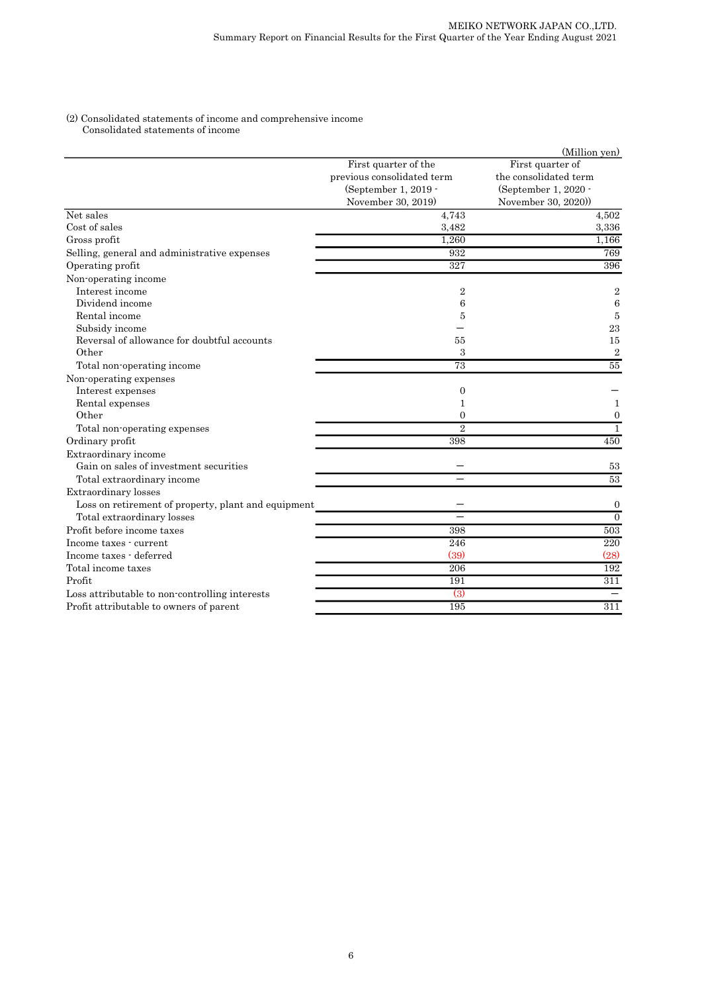### (2) Consolidated statements of income and comprehensive income Consolidated statements of income

|                                                     |                            | (Million yen)         |
|-----------------------------------------------------|----------------------------|-----------------------|
|                                                     | First quarter of the       | First quarter of      |
|                                                     | previous consolidated term | the consolidated term |
|                                                     | (September 1, 2019 -       | (September 1, 2020 -  |
|                                                     | November 30, 2019)         | November 30, 2020)    |
| Net sales                                           | 4,743                      | 4,502                 |
| Cost of sales                                       | 3,482                      | 3,336                 |
| Gross profit                                        | 1,260                      | 1,166                 |
| Selling, general and administrative expenses        | 932                        | 769                   |
| Operating profit                                    | 327                        | 396                   |
| Non-operating income                                |                            |                       |
| Interest income                                     | 2                          | $\overline{2}$        |
| Dividend income                                     | 6                          | 6                     |
| Rental income                                       | 5                          | 5                     |
| Subsidy income                                      |                            | 23                    |
| Reversal of allowance for doubtful accounts         | 55                         | 15                    |
| Other                                               | 3                          | $\overline{2}$        |
| Total non-operating income                          | 73                         | $\overline{55}$       |
| Non-operating expenses                              |                            |                       |
| Interest expenses                                   | 0                          |                       |
| Rental expenses                                     | 1                          | 1                     |
| Other                                               | $\overline{0}$             | $\mathbf{0}$          |
| Total non-operating expenses                        | $\overline{2}$             | $\mathbf{1}$          |
| Ordinary profit                                     | 398                        | 450                   |
| Extraordinary income                                |                            |                       |
| Gain on sales of investment securities              |                            | 53                    |
| Total extraordinary income                          |                            | 53                    |
| Extraordinary losses                                |                            |                       |
| Loss on retirement of property, plant and equipment |                            | $\mathbf{0}$          |
| Total extraordinary losses                          |                            | $\overline{0}$        |
| Profit before income taxes                          | 398                        | 503                   |
| Income taxes - current                              | 246                        | 220                   |
| Income taxes - deferred                             | (39)                       | (28)                  |
| Total income taxes                                  | 206                        | 192                   |
| Profit                                              | 191                        | 311                   |
| Loss attributable to non-controlling interests      | $\left(3\right)$           |                       |
| Profit attributable to owners of parent             | 195                        | 311                   |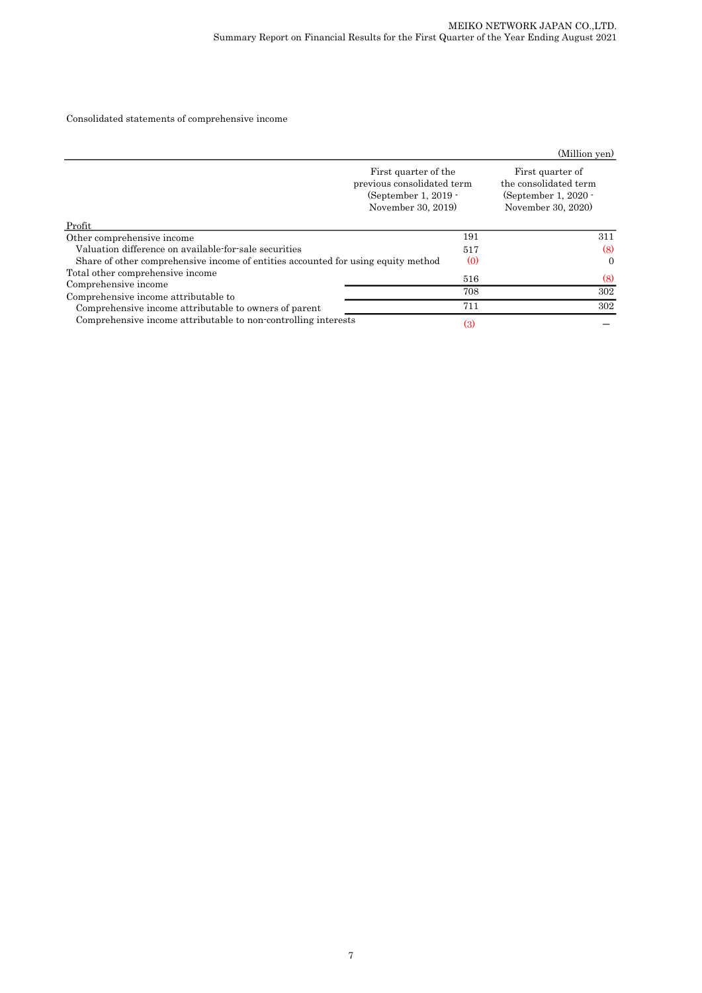### Consolidated statements of comprehensive income

|                                                                                   |                                                                                                    | (Million yen)                                                                             |  |
|-----------------------------------------------------------------------------------|----------------------------------------------------------------------------------------------------|-------------------------------------------------------------------------------------------|--|
|                                                                                   | First quarter of the<br>previous consolidated term<br>(September 1, $2019 -$<br>November 30, 2019) | First quarter of<br>the consolidated term<br>(September 1, $2020 -$<br>November 30, 2020) |  |
| Profit                                                                            |                                                                                                    |                                                                                           |  |
| Other comprehensive income                                                        | 191                                                                                                | 311                                                                                       |  |
| Valuation difference on available-for-sale securities                             | 517                                                                                                | (8)                                                                                       |  |
| Share of other comprehensive income of entities accounted for using equity method | $\left( 0 \right)$                                                                                 | $\Omega$                                                                                  |  |
| Total other comprehensive income<br>Comprehensive income                          | 516                                                                                                | (8)                                                                                       |  |
| Comprehensive income attributable to                                              | 708                                                                                                | 302                                                                                       |  |
| Comprehensive income attributable to owners of parent                             | 711                                                                                                | 302                                                                                       |  |
| Comprehensive income attributable to non-controlling interests                    | $\left(3\right)$                                                                                   |                                                                                           |  |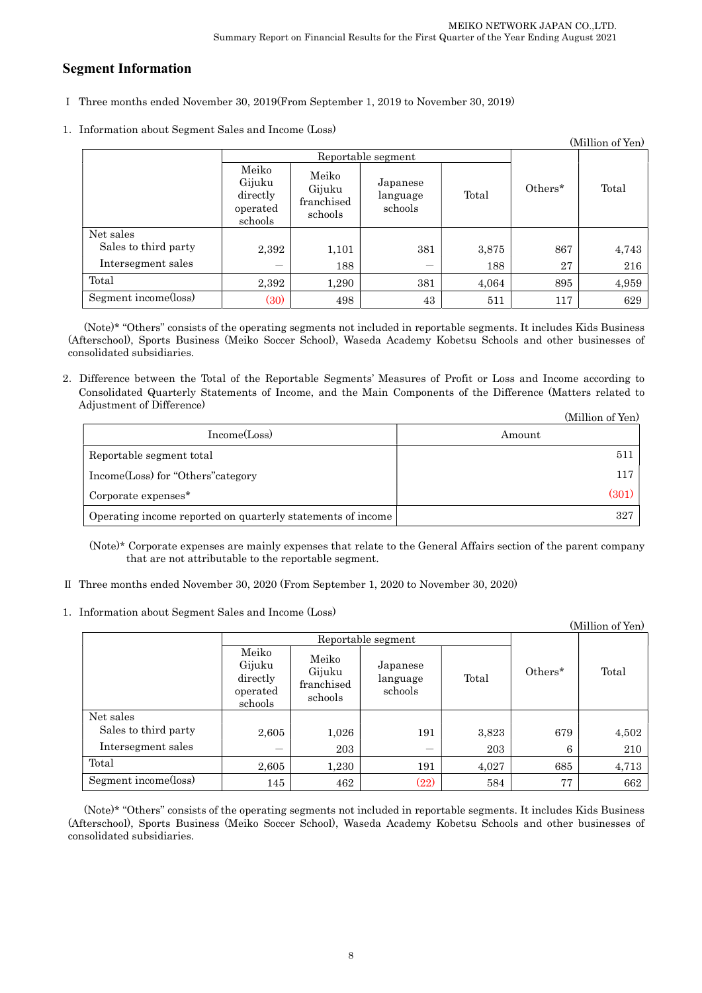# Segment Information

- Ⅰ Three months ended November 30, 2019(From September 1, 2019 to November 30, 2019)
- 1.Information about Segment Sales and Income (Loss)

| (Million of Yen)     |                                                    |                                          |                                 |       |         |       |
|----------------------|----------------------------------------------------|------------------------------------------|---------------------------------|-------|---------|-------|
|                      | Reportable segment                                 |                                          |                                 |       |         |       |
|                      | Meiko<br>Gijuku<br>directly<br>operated<br>schools | Meiko<br>Gijuku<br>franchised<br>schools | Japanese<br>language<br>schools | Total | Others* | Total |
| Net sales            |                                                    |                                          |                                 |       |         |       |
| Sales to third party | 2,392                                              | 1,101                                    | 381                             | 3,875 | 867     | 4,743 |
| Intersegment sales   | —                                                  | 188                                      | —                               | 188   | 27      | 216   |
| Total                | 2,392                                              | 1,290                                    | 381                             | 4,064 | 895     | 4,959 |
| Segment income(loss) | (30)                                               | 498                                      | 43                              | 511   | 117     | 629   |

(Note)\* "Others" consists of the operating segments not included in reportable segments. It includes Kids Business (Afterschool), Sports Business (Meiko Soccer School), Waseda Academy Kobetsu Schools and other businesses of consolidated subsidiaries.

2.Difference between the Total of the Reportable Segments' Measures of Profit or Loss and Income according to Consolidated Quarterly Statements of Income, and the Main Components of the Difference (Matters related to Adjustment of Difference)  $(11)$   $(37)$ 

|                                                             | (Million of Yen) |
|-------------------------------------------------------------|------------------|
| Income(Loss)                                                | Amount           |
| Reportable segment total                                    | 511              |
| Income(Loss) for "Others" category                          | 117              |
| Corporate expenses <sup>*</sup>                             | (301)            |
| Operating income reported on quarterly statements of income | 327              |

(Note)\* Corporate expenses are mainly expenses that relate to the General Affairs section of the parent company that are not attributable to the reportable segment.

- Ⅱ Three months ended November 30, 2020 (From September 1, 2020 to November 30, 2020)
- 1.Information about Segment Sales and Income (Loss)

|                      |                                                    |                                          |                                 |       |         | (Million of Yen) |
|----------------------|----------------------------------------------------|------------------------------------------|---------------------------------|-------|---------|------------------|
|                      | Reportable segment                                 |                                          |                                 |       |         |                  |
|                      | Meiko<br>Gijuku<br>directly<br>operated<br>schools | Meiko<br>Gijuku<br>franchised<br>schools | Japanese<br>language<br>schools | Total | Others* | Total            |
| Net sales            |                                                    |                                          |                                 |       |         |                  |
| Sales to third party | 2,605                                              | 1,026                                    | 191                             | 3,823 | 679     | 4,502            |
| Intersegment sales   |                                                    | 203                                      |                                 | 203   | 6       | 210              |
| Total                | 2,605                                              | 1,230                                    | 191                             | 4,027 | 685     | 4,713            |
| Segment income(loss) | 145                                                | 462                                      | (22)                            | 584   | 77      | 662              |

(Note)\* "Others" consists of the operating segments not included in reportable segments. It includes Kids Business (Afterschool), Sports Business (Meiko Soccer School), Waseda Academy Kobetsu Schools and other businesses of consolidated subsidiaries.